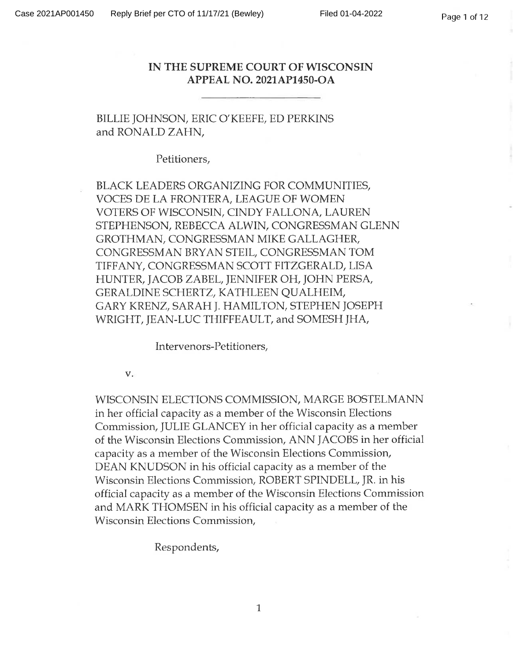### **IN THE SUPREME COURT OF WISCONSIN APPEAL NO. 2021AP1450-OA**

BILLIE JOHNSON, ERIC O'KEEFE, ED PERKINS and RONALD ZAHN,

Petitioners,

BLACK LEADERS ORGANIZING FOR COMMUNITIES, VOCES DE LA FRONTERA, LEAGUE OF WOMEN VOTERS OF WISCONSIN, CINDY FALLONA, LAUREN STEPHENSON, REBECCA ALWIN, CONGRESSMAN GLENN GROTHMAN, CONGRESSMAN MIKE GALLAGHER, CONGRESSMAN BRYAN STEIL, CONGRESSMAN TOM TIFFANY, CONGRESSMAN SCOTT FITZGERALD, LISA HUNTER, JACOB ZABEL, JENNIFER OH, JOHN PERSA, GERALDINE SCHERTZ, KATHLEEN QUALHEIM, GARY KRENZ, SARAH J. HAMILTON, STEPHEN JOSEPH WRIGHT, JEAN-LUC THIFFEAULT, and SOMESH JHA,

Intervenors-Petitioners,

v.

WISCONSIN ELECTIONS COMMISSION, MARGE BOSTELMANN in her official capacity as a member of the Wisconsin Elections Commission, JULIE GLANCEY in her official capacity as <sup>a</sup> member of the Wisconsin Elections Commission, ANN JACOBS in her official capacity as a member of the Wisconsin Elections Commission, DEAN KNUDSON in his official capacity as <sup>a</sup> member of the Wisconsin Elections Commission, ROBERT SPINDELL, JR. in his official capacity as a member of the Wisconsin Elections Commission and MARK THOMSEN in his official capacity as a member of the Wisconsin Elections Commission,

Respondents,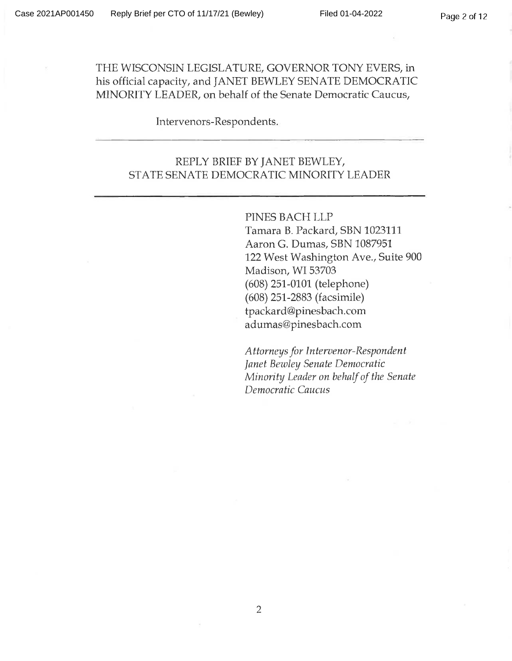THE WISCONSIN LEGISLATURE, GOVERNOR TONY EVERS, in his official capacity, and JANET BEWLEY SENATE DEMOCRATIC MINORITY LEADER, on behalf of the Senate Democratic Caucus,

### Intervenors-Respondents.

# REPLY BRIEF BY JANET BEWLEY, STATE SENATE DEMOCRATIC MINORITY LEADER

PINES BACH LLP Tamara B. Packard, SBN 1023111 Aaron G. Dumas, SBN 1087951 122 West Washington Ave., Suite 900 Madison, WI 53703 (608) 251-0101 (telephone) (608) 251-2883 (facsimile) tpackard@pinesbach.com [adumas@pinesbach.com](mailto:adumas@pinesbach.com)

*Attorneys for Intervenor-Respondent Janet Bewley Senate Democratic Minority Leader on behalfof the Senate Democratic Caucus*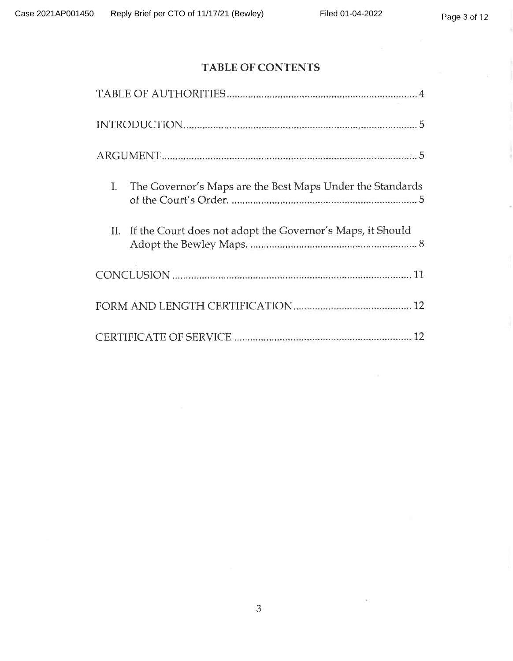### **TABLE OF CONTENTS**

| I. | The Governor's Maps are the Best Maps Under the Standards      |  |
|----|----------------------------------------------------------------|--|
|    | II. If the Court does not adopt the Governor's Maps, it Should |  |
|    |                                                                |  |
|    |                                                                |  |
|    |                                                                |  |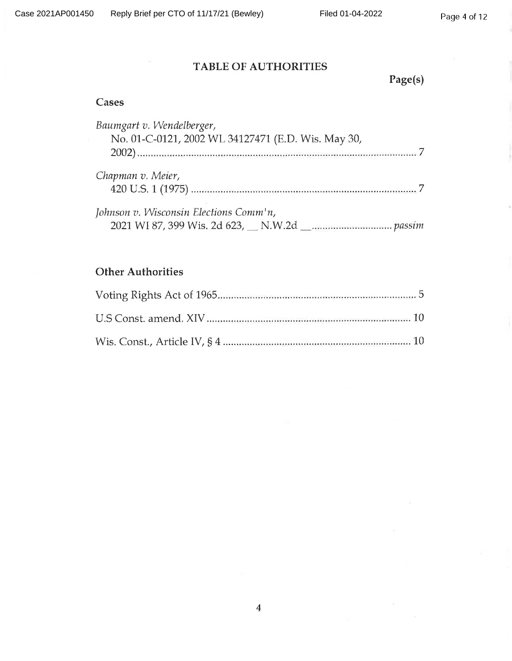# **TABLE OF AUTHORITIES**

**Page(s)**

# **Cases**

| Baumgart v. Wendelberger,                          |
|----------------------------------------------------|
| No. 01-C-0121, 2002 WL 34127471 (E.D. Wis. May 30, |
|                                                    |
| Chapman v. Meier,                                  |
|                                                    |
| Johnson v. Wisconsin Elections Comm'n,             |
|                                                    |

# **Other Authorities**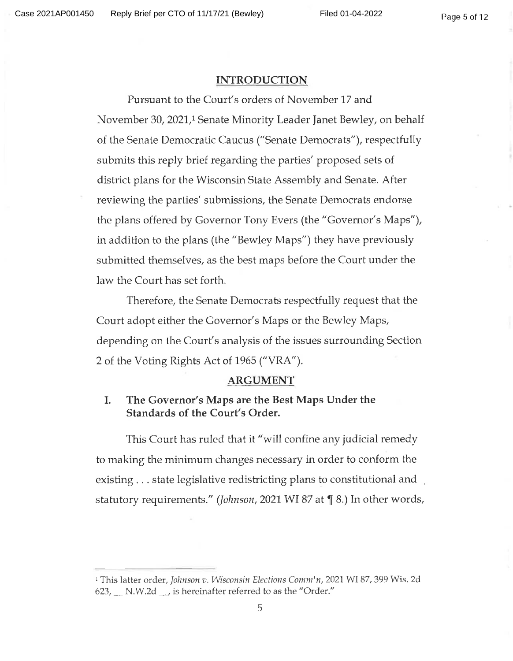#### **INTRODUCTION**

Pursuant to the Court's orders of November 17 and November 30, 2021,1 Senate Minority Leader Janet Bewley, on behalf of the Senate Democratic Caucus ("Senate Democrats"), respectfully submits this reply brief regarding the parties' proposed sets of district plans for the Wisconsin State Assembly and Senate. After reviewing the parties' submissions, the Senate Democrats endorse the plans offered by Governor Tony Evers (the "Governor's Maps"), in addition to the plans (the "Bewley Maps") they have previously submitted themselves, as the best maps before the Court under the law the Court has set forth.

Therefore, the Senate Democrats respectfully request that the Court adopt either the Governor's Maps or the Bewley Maps, depending on the Court's analysis of the issues surrounding Section 2 of the Voting Rights Act of 1965 ("VRA").

#### **ARGUMENT**

### **I. The Governor's Maps are the Best Maps Under the Standards of the Court's Order.**

This Court has ruled that it "will confine any judicial remedy to making the minimum changes necessary in order to conform the existing . . . state legislative redistricting plans to constitutional and statutory requirements." (*Johnson*, 2021 WI 87 at ¶ 8.) In other words,

<sup>1</sup> This latter order, *Johnson v. Wisconsin Elections Comm'n,* 2021 WI 87, 399 Wis. 2d  $623$ ,  $\Box$  N.W.2d  $\Box$ , is hereinafter referred to as the "Order."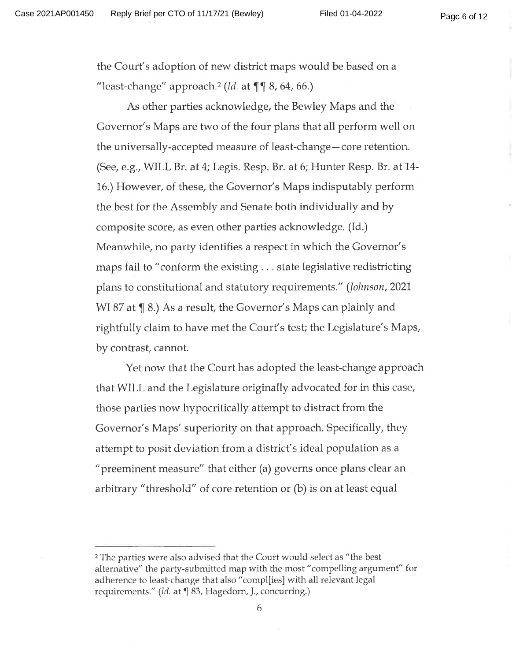the Court's adoption of new district maps would be based on a "least-change" approach.<sup>2</sup> *(Id.* at  $\P\P$  8, 64, 66.)

As other parties acknowledge, the Bewley Maps and the Governor's Maps are two of the four plans that all perform well on the universally-accepted measure of least-change — core retention. (See, e.g., WILL Br. at 4; Legis. Resp. Br. at 6; Hunter Resp. Br. at 14 16.) However, of these, the Governor's Maps indisputably perform the best for the Assembly and Senate both individually and by composite score, as even other parties acknowledge. (Id.) Meanwhile, no party identifies a respect in which the Governor's maps fail to "conform the existing . . . state legislative redistricting plans to constitutional and statutory requirements." (*Johnson*, 2021 WI 87 at  $\P$  8.) As a result, the Governor's Maps can plainly and rightfully claim to have met the Court's test; the Legislature's Maps, by contrast, cannot.

Yet now that the Court has adopted the least-change approach that WILL and the Legislature originally advocated for in this case, those parties now hypocritically attempt to distract from the Governor's Maps' superiority on that approach. Specifically, they attempt to posit deviation from a district's ideal population as <sup>a</sup> "preeminent measure" that either (a) governs once plans clear an arbitrary "threshold" of core retention or (b) is on at least equal

<sup>2</sup> The parties were also advised that the Court would select as "the best alternative" the party-submitted map with the most "compelling argument" for adherence to least-change that also "compl[ies] with all relevant legal requirements." *(Id.* at ¶ 83, Hagedorn, J., concurring.)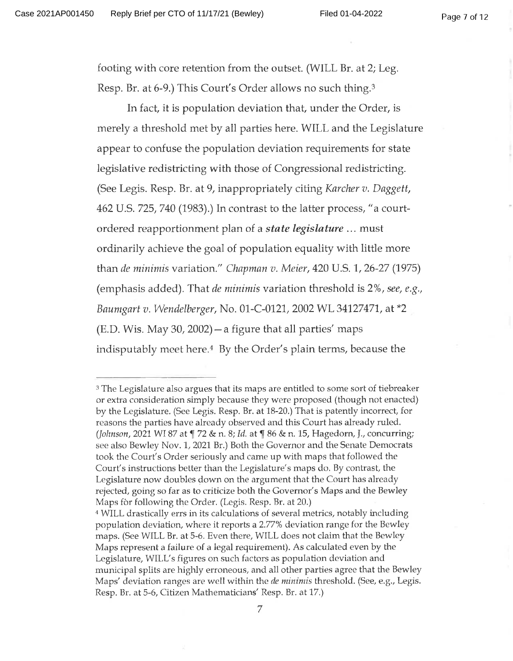footing with core retention from the outset. (WILL Br. at 2; Leg. Resp. Br. at 6-9.) This Court's Order allows no such thing.3

In fact, it is population deviation that, under the Order, is merely <sup>a</sup> threshold met by all parties here. WILL and the Legislature appear to confuse the population deviation requirements for state legislative redistricting with those of Congressional redistricting. (See Legis. Resp. Br. at 9, inappropriately citing *Karcher v. Daggett,* 462 U.S. 725, 740 (1983).) In contrast to the latter process, "a courtordered reapportionment plan of a *state legislature* ... must ordinarily achieve the goal of population equality with little more than *de minimis* variation." *Chapman v. Meier,* 420 U.S. 1, 26-27 (1975) (emphasis added). That *de minimis* variation threshold is 2%, *see, e.g., Baumgart v. Wendelberger,* No. 01-C-0121, 2002 WL 34127471, at \*2 (E.D. Wis. May 30, 2002) —a figure that all parties' maps indisputably meet here.4 By the Order's plain terms, because the

<sup>3</sup> The Legislature also argues that its maps are entitled to some sort of tiebreaker or extra consideration simply because they were proposed (though not enacted) by the Legislature. (See Legis. Resp. Br. at 18-20.) That is patently incorrect, for reasons the parties have already observed and this Court has already ruled. (*Johnson*, <sup>2021</sup> WI87 at ^ <sup>72</sup> & n. 8; *Id.* at f <sup>86</sup> & n. 15, Hagedorn, *}.,* concurring; see also Bewley Nov. 1, 2021 Br.) Both the Governor and the Senate Democrats took the Court's Order seriously and came up with maps that followed the Court's instructions better than the Legislature's maps do. By contrast, the Legislature now doubles down on the argument that the Court has already rejected, going so far as to criticize both the Governor's Maps and the Bewley Maps for following the Order. (Legis. Resp. Br. at 20.)

<sup>4</sup> WILL drastically errs in its calculations of several metrics, notably including population deviation, where it reports <sup>a</sup> 2.77% deviation range for the Bewley maps. (See WILL Br. at 5-6. Even there, WILL does not claim that the Bewley Maps represent a failure of a legal requirement). As calculated even by the Legislature, WILL'S figures on such factors as population deviation and municipal splits are highly erroneous, and all other parties agree that the Bewley Maps' deviation ranges are well within the *de minimis* threshold. (See, e.g., Legis. Resp. Br. at 5-6, Citizen Mathematicians' Resp. Br. at 17.)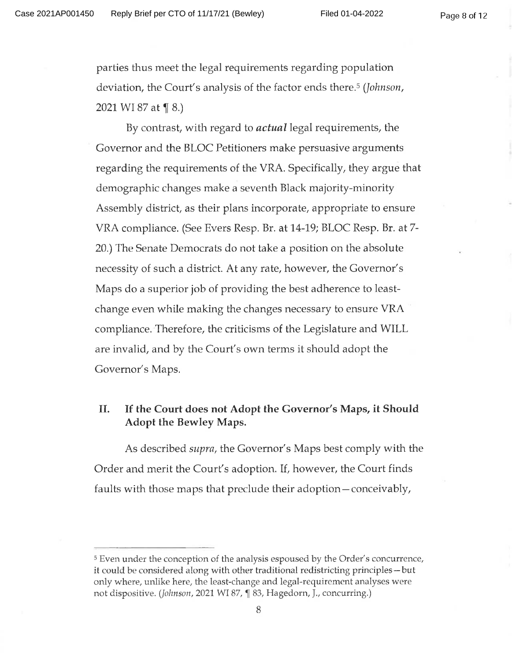parties thus meet the legal requirements regarding population deviation, the Court's analysis of the factor ends there.5 (*Johnson*, 2021 WI 87 at  $\P$  8.)

By contrast, with regard to *actual* legal requirements, the Governor and the BLOC Petitioners make persuasive arguments regarding the requirements of the VRA. Specifically, they argue that demographic changes make a seventh Black majority-minority Assembly district, as their plans incorporate, appropriate to ensure VRA compliance. (See Evers Resp. Br. at 14-19; BLOC Resp. Br. at 7 20.) The Senate Democrats do not take a position on the absolute necessity of such a district. At any rate, however, the Governor's Maps do a superior job of providing the best adherence to leastchange even while making the changes necessary to ensure VRA compliance. Therefore, the criticisms of the Legislature and WILL are invalid, and by the Court's own terms it should adopt the Governor's Maps.

### **II. If the Court does not Adopt the Governor's Maps, it Should Adopt the Bewley Maps.**

As described *supra,* the Governor's Maps best comply with the Order and merit the Court's adoption. If, however, the Court finds faults with those maps that preclude their adoption—conceivably.

<sup>5</sup> Even under the conception of the analysis espoused by the Order's concurrence, it could be considered along with other traditional redistricting principles —but only where, unlike here, the least-change and legal-requirement analyses were not dispositive. (*Johnson,* 2021 WI 87, ¶ 83, Hagedorn, J., concurring.)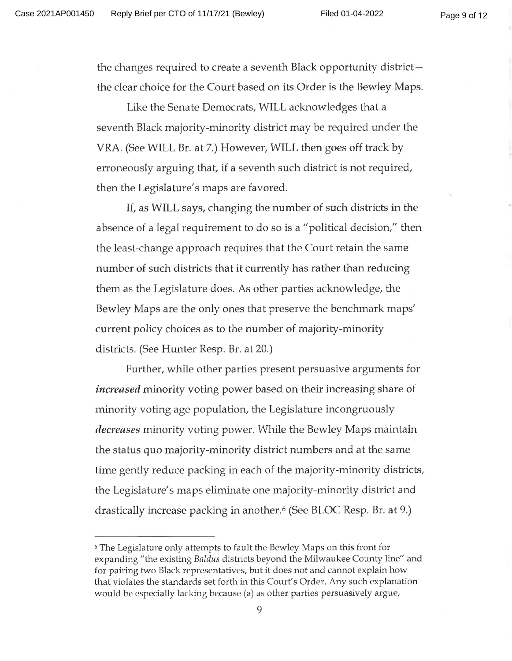the changes required to create <sup>a</sup> seventh Black opportunity district the clear choice for the Court based on its Order is the Bewley Maps.

Like the Senate Democrats, WILL acknowledges that <sup>a</sup> seventh Black majority-minority district may be required under the VRA. (See WILL Br. at 7.) However, WILL then goes off track by erroneously arguing that, if <sup>a</sup> seventh such district is not required, then the Legislature's maps are favored.

If, as WILL says, changing the number of such districts in the absence of a legal requirement to do so is a "political decision," then the least-change approach requires that the Court retain the same number of such districts that it currently has rather than reducing them as the Legislature does. As other parties acknowledge, the Bewley Maps are the only ones that preserve the benchmark maps' current policy choices as to the number of majority-minority districts. (See Hunter Resp. Br. at 20.)

Further, while other parties present persuasive arguments for *increased* minority voting power based on their increasing share of minority voting age population, the Legislature incongruously *decreases* minority voting power. While the Bewley Maps maintain the status quo majority-minority district numbers and at the same time gently reduce packing in each of the majority-minority districts, the Legislature's maps eliminate one majority-minority district and drastically increase packing in another.6 (See BLOC Resp. Br. at 9.)

<sup>6</sup> The Legislature only attempts to fault the Bewley Maps on this front for expanding "the existing *Baldus* districts beyond the Milwaukee County line" and for pairing two Black representatives, but it does not and cannot explain how that violates the standards set forth in this Court's Order. Any such explanation would be especially lacking because (a) as other parties persuasively argue.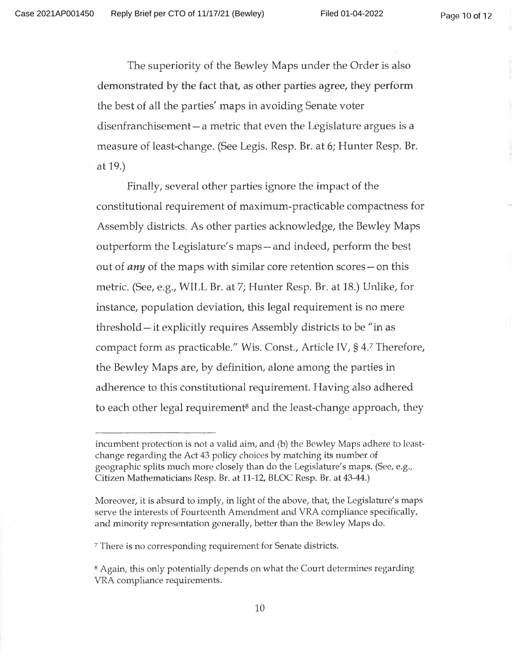Page 10 of 12

The superiority of the Bewley Maps under the Order is also demonstrated by the fact that, as other parties agree, they perform the best of all the parties' maps in avoiding Senate voter disenfranchisement—a metric that even the Legislature argues is a measure of least-change. (See Legis. Resp. Br. at 6; Hunter Resp. Br. at 19.)

Finally, several other parties ignore the impact of the constitutional requirement of maximum-practicable compactness for Assembly districts. As other parties acknowledge, the Bewley Maps outperform the Legislature's maps —and indeed, perform the best out of *any* of the maps with similar core retention scores — on this metric. (See, e.g., WILL Br. at 7; Hunter Resp. Br. at 18.) Unlike, for instance, population deviation, this legal requirement is no mere threshold —it explicitly requires Assembly districts to be "in as compact form as practicable." Wis. Const., Article IV, § *47* Therefore, the Bewley Maps are, by definition, alone among the parties in adherence to this constitutional requirement. Having also adhered to each other legal requirement<sup>8</sup> and the least-change approach, they

<sup>7</sup> There is no corresponding requirement for Senate districts.

incumbent protection is not a valid aim, and (b) the Bewley Maps adhere to leastchange regarding the Act 43 policy choices by matching its number of geographic splits much more closely than do the Legislature's maps. (See, e.g.. Citizen Mathematicians Resp. Br. at *11-12,* BLOC Resp. Br. at 43-44.)

Moreover, it is absurd to imply, in light of the above, that, the Legislature's maps serve the interests of Fourteenth Amendment and VRA compliance specifically, and minority representation generally, better than the Bewley Maps do.

<sup>8</sup> Again, this only potentially depends on what the Court determines regarding VRA compliance requirements.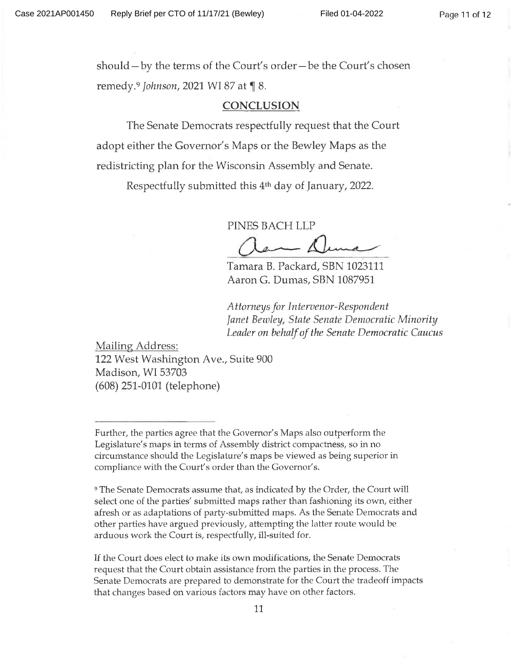should —by the terms of the Court's order—be the Court's chosen remedy.<sup>9</sup> *Johnson*, 2021 WI 87 at ¶ 8.

#### **CONCLUSION**

The Senate Democrats respectfully request that the Court adopt either the Governor's Maps or the Bewley Maps as the redistricting plan for the Wisconsin Assembly and Senate.

Respectfully submitted this 4th day of January, 2022.

PINES BACH LLP

Tamara B. Packard, SBN 1023111 Aaron G. Dumas, SBN 1087951

*Attorneys for Intervenor-Respondent Janet Bewley, State Senate Democratic Minority Leader on behalfofthe Senate Democratic Caucus*

Mailing Address: 122 West Washington Ave., Suite 900 Madison, WL 53703 (608) 251-0101 (telephone)

<sup>9</sup> The Senate Democrats assume that, as indicated by the Order, the Court will select one of the parties' submitted maps rather than fashioning its own, either afresh or as adaptations of party-submitted maps. As the Senate Democrats and other parties have argued previously, attempting the latter route would be arduous work the Court is, respectfully, ill-suited for.

If the Court does elect to make its own modifications, the Senate Democrats request that the Court obtain assistance from the parties in the process. The Senate Democrats are prepared to demonstrate for the Court the tradeoff impacts that changes based on various factors may have on other factors.

Further, the parties agree that the Governor's Maps also outperform the Legislature's maps in terms of Assembly district compactness, so in no circumstance should the Legislature's maps be viewed as being superior in compliance with the Court's order than the Governor's.